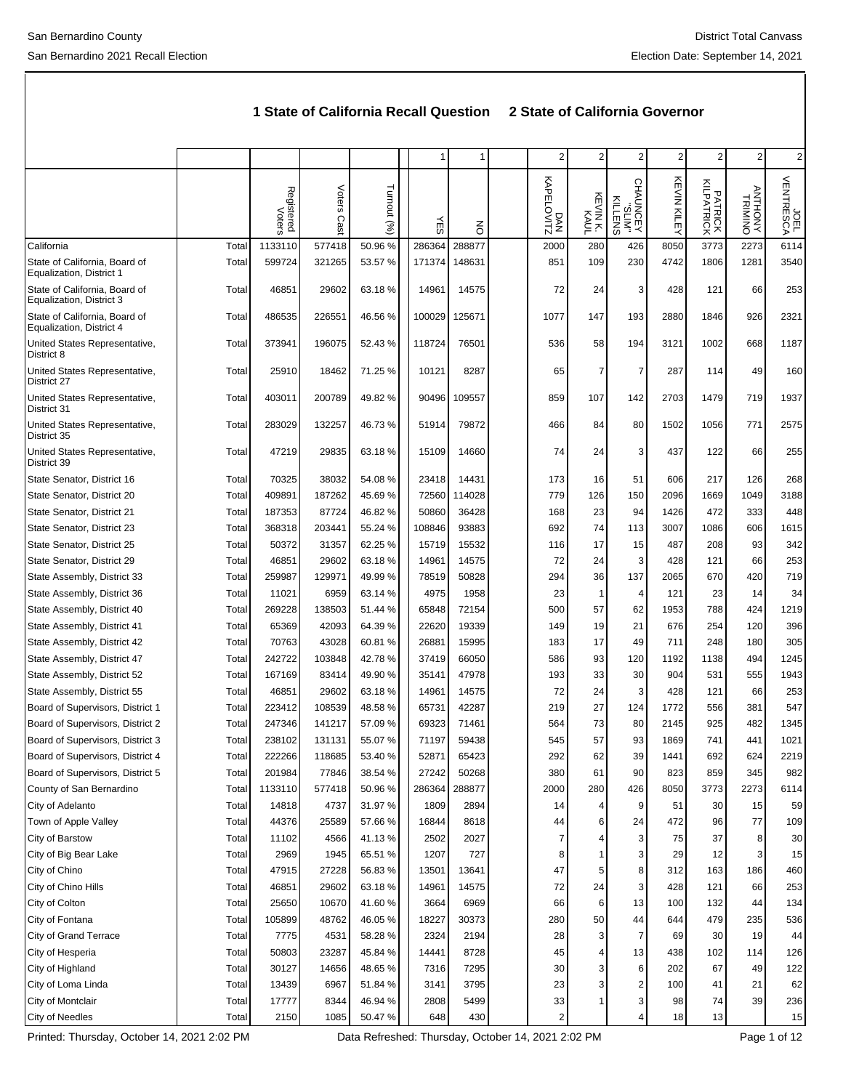|                                                           |       |                      |                |             |        | 1      | $\overline{c}$    | $\overline{2}$     | $\overline{\mathbf{c}}$        | 2                      | $\overline{2}$        | $\overline{c}$     | $\overline{2}$    |
|-----------------------------------------------------------|-------|----------------------|----------------|-------------|--------|--------|-------------------|--------------------|--------------------------------|------------------------|-----------------------|--------------------|-------------------|
|                                                           |       | Registered<br>Voters | Voters<br>Cast | Turnout (%) | Ψë     | る      | DAN<br>KAPELOVITZ | KEVINK.<br>KEVINK. | CHAUNCEY<br>"SLIM"<br>CHAUNCEY | <b>KEVIN KILE</b><br>≺ | PATRICK<br>KILPATRICK | ANTHONN<br>TRIMINO | JOEL<br>VENTRESCA |
| California                                                | Total | 1133110              | 577418         | 50.96 %     | 286364 | 288877 | 2000              | 280                | 426                            | 8050                   | 3773                  | 2273               | 6114              |
| State of California, Board of<br>Equalization, District 1 | Total | 599724               | 321265         | 53.57 %     | 171374 | 148631 | 851               | 109                | 230                            | 4742                   | 1806                  | 1281               | 3540              |
| State of California, Board of<br>Equalization, District 3 | Total | 46851                | 29602          | 63.18%      | 14961  | 14575  | 72                | 24                 | 3                              | 428                    | 121                   | 66                 | 253               |
| State of California, Board of<br>Equalization, District 4 | Total | 486535               | 226551         | 46.56%      | 100029 | 125671 | 1077              | 147                | 193                            | 2880                   | 1846                  | 926                | 2321              |
| United States Representative,<br>District 8               | Total | 373941               | 196075         | 52.43%      | 118724 | 76501  | 536               | 58                 | 194                            | 3121                   | 1002                  | 668                | 1187              |
| United States Representative,<br>District 27              | Total | 25910                | 18462          | 71.25 %     | 10121  | 8287   | 65                | $\overline{7}$     | 7                              | 287                    | 114                   | 49                 | 160               |
| United States Representative,<br>District 31              | Total | 403011               | 200789         | 49.82 %     | 90496  | 109557 | 859               | 107                | 142                            | 2703                   | 1479                  | 719                | 1937              |
| United States Representative,<br>District 35              | Total | 283029               | 132257         | 46.73%      | 51914  | 79872  | 466               | 84                 | 80                             | 1502                   | 1056                  | 771                | 2575              |
| United States Representative,<br>District 39              | Total | 47219                | 29835          | 63.18%      | 15109  | 14660  | 74                | 24                 | 3                              | 437                    | 122                   | 66                 | 255               |
| State Senator, District 16                                | Total | 70325                | 38032          | 54.08%      | 23418  | 14431  | 173               | 16                 | 51                             | 606                    | 217                   | 126                | 268               |
| State Senator, District 20                                | Total | 409891               | 187262         | 45.69%      | 72560  | 114028 | 779               | 126                | 150                            | 2096                   | 1669                  | 1049               | 3188              |
| State Senator, District 21                                | Total | 187353               | 87724          | 46.82%      | 50860  | 36428  | 168               | 23                 | 94                             | 1426                   | 472                   | 333                | 448               |
| State Senator, District 23                                | Total | 368318               | 203441         | 55.24 %     | 108846 | 93883  | 692               | 74                 | 113                            | 3007                   | 1086                  | 606                | 1615              |
| State Senator, District 25                                | Total | 50372                | 31357          | 62.25 %     | 15719  | 15532  | 116               | 17                 | 15                             | 487                    | 208                   | 93                 | 342               |
| State Senator, District 29                                | Total | 46851                | 29602          | 63.18%      | 14961  | 14575  | 72                | 24                 | 3                              | 428                    | 121                   | 66                 | 253               |
| State Assembly, District 33                               | Total | 259987               | 129971         | 49.99%      | 78519  | 50828  | 294               | 36                 | 137                            | 2065                   | 670                   | 420                | 719               |
| State Assembly, District 36                               | Total | 11021                | 6959           | 63.14%      | 4975   | 1958   | 23                | $\mathbf{1}$       | 4                              | 121                    | 23                    | 14                 | 34                |
| State Assembly, District 40                               | Total | 269228               | 138503         | 51.44 %     | 65848  | 72154  | 500               | 57                 | 62                             | 1953                   | 788                   | 424                | 1219              |
| State Assembly, District 41                               | Total | 65369                | 42093          | 64.39%      | 22620  | 19339  | 149               | 19                 | 21                             | 676                    | 254                   | 120                | 396               |
| State Assembly, District 42                               | Total | 70763                | 43028          | 60.81%      | 26881  | 15995  | 183               | 17                 | 49                             | 711                    | 248                   | 180                | 305               |
| State Assembly, District 47                               | Total | 242722               | 103848         | 42.78%      | 37419  | 66050  | 586               | 93                 | 120                            | 1192                   | 1138                  | 494                | 1245              |
| State Assembly, District 52                               | Total | 167169               | 83414          | 49.90%      | 35141  | 47978  | 193               | 33                 | 30                             | 904                    | 531                   | 555                | 1943              |
| State Assembly, District 55                               | Total | 46851                | 29602          | 63.18%      | 14961  | 14575  | 72                | 24                 | 3                              | 428                    | 121                   | 66                 | 253               |
| Board of Supervisors, District 1                          | Total | 223412               | 108539         | 48.58%      | 65731  | 42287  | 219               | 27                 | 124                            | 1772                   | 556                   | 381                | 547               |
| Board of Supervisors, District 2                          | Total | 247346               | 141217         | 57.09 %     | 69323  | 71461  | 564               | 73                 | 80                             | 2145                   | 925                   | 482                | 1345              |
| Board of Supervisors, District 3                          | Total | 238102               | 131131         | 55.07%      | 71197  | 59438  | 545               | 57                 | 93                             | 1869                   | 741                   | 441                | 1021              |
| Board of Supervisors, District 4                          | Total | 222266               | 118685         | 53.40 %     | 52871  | 65423  | 292               | 62                 | 39                             | 1441                   | 692                   | 624                | 2219              |
| Board of Supervisors, District 5                          | Total | 201984               | 77846          | 38.54 %     | 27242  | 50268  | 380               | 61                 | 90                             | 823                    | 859                   | 345                | 982               |
| County of San Bernardino                                  | Total | 1133110              | 577418         | 50.96%      | 286364 | 288877 | 2000              | 280                | 426                            | 8050                   | 3773                  | 2273               | 6114              |
| City of Adelanto                                          | Total | 14818                | 4737           | 31.97%      | 1809   | 2894   | 14                | 4                  | 9                              | 51                     | 30                    | 15                 | 59                |
| Town of Apple Valley                                      | Total | 44376                | 25589          | 57.66 %     | 16844  | 8618   | 44                | 6                  | 24                             | 472                    | 96                    | 77                 | 109               |
| City of Barstow                                           | Total | 11102                | 4566           | 41.13%      | 2502   | 2027   | 7                 |                    | 3                              | 75                     | 37                    | 8                  | 30                |
| City of Big Bear Lake                                     | Total | 2969                 | 1945           | 65.51 %     | 1207   | 727    | 8                 |                    | 3                              | 29                     | 12                    | 3                  | 15                |
| City of Chino                                             | Total | 47915                | 27228          | 56.83%      | 13501  | 13641  | 47                | 5                  | 8                              | 312                    | 163                   | 186                | 460               |
| City of Chino Hills                                       | Total | 46851                | 29602          | 63.18%      | 14961  | 14575  | 72                | 24                 | 3                              | 428                    | 121                   | 66                 | 253               |
| City of Colton                                            | Total | 25650                | 10670          | 41.60%      | 3664   | 6969   | 66                | 6                  | 13                             | 100                    | 132                   | 44                 | 134               |
| City of Fontana                                           | Total | 105899               | 48762          | 46.05%      | 18227  | 30373  | 280               | 50                 | 44                             | 644                    | 479                   | 235                | 536               |
| City of Grand Terrace                                     | Total | 7775                 | 4531           | 58.28%      | 2324   | 2194   | 28                | 3                  | 7                              | 69                     | 30                    | 19                 | 44                |
| City of Hesperia                                          | Total | 50803                | 23287          | 45.84 %     | 14441  | 8728   | 45                | 4                  | 13                             | 438                    | 102                   | 114                | 126               |
| City of Highland                                          | Total | 30127                | 14656          | 48.65%      | 7316   | 7295   | 30                | 3                  | 6                              | 202                    | 67                    | 49                 | 122               |
| City of Loma Linda                                        | Total | 13439                | 6967           | 51.84 %     | 3141   | 3795   | 23                | 3                  | 2                              | 100                    | 41                    | 21                 | 62                |
| City of Montclair                                         | Total | 17777                | 8344           | 46.94 %     | 2808   | 5499   | 33                |                    | 3                              | 98                     | 74                    | 39                 | 236               |
| City of Needles                                           | Total | 2150                 | 1085           | 50.47%      | 648    | 430    | $\overline{2}$    |                    | 4                              | 18                     | 13                    |                    | 15                |

**1 State of California Recall Question 2 State of California Governor**

Printed: Thursday, October 14, 2021 2:02 PM Data Refreshed: Thursday, October 14, 2021 2:02 PM Page 1 of 12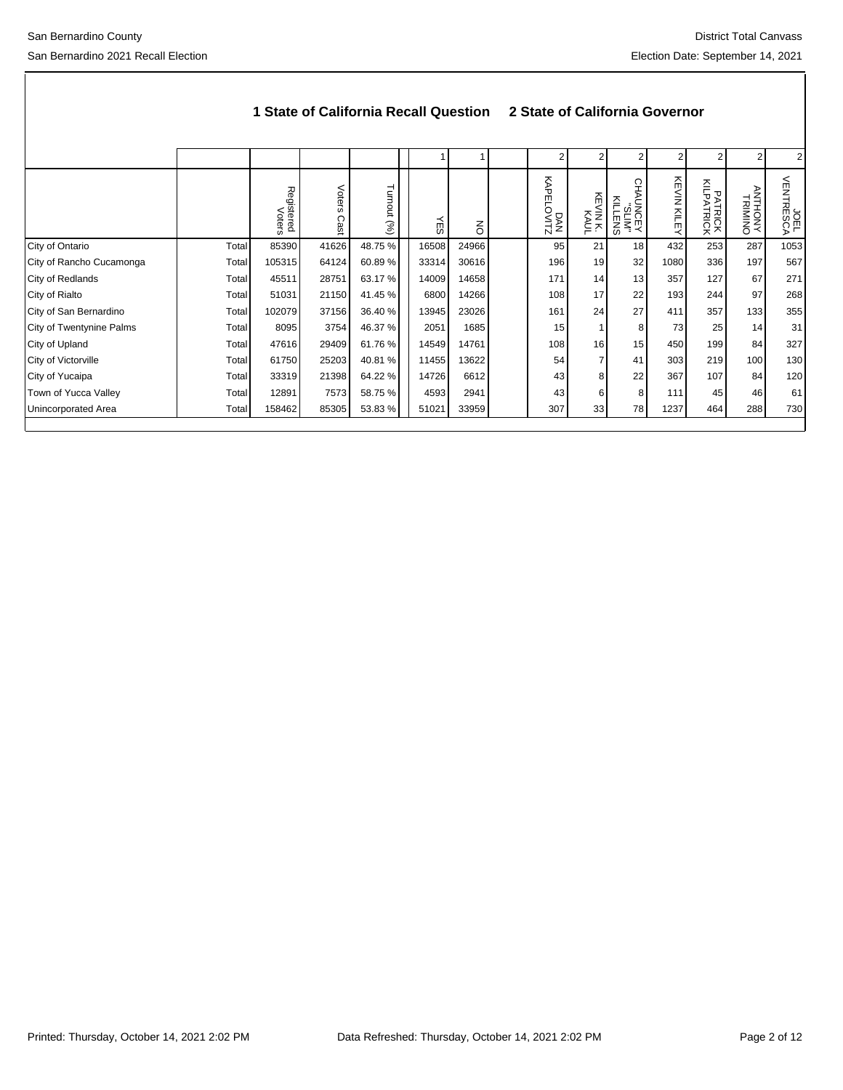|                          |       | 1 State of California Recall Question | 2 State of California Governor |             |       |                |                   |                          |             |                 |                       |                           |                   |
|--------------------------|-------|---------------------------------------|--------------------------------|-------------|-------|----------------|-------------------|--------------------------|-------------|-----------------|-----------------------|---------------------------|-------------------|
|                          |       |                                       |                                |             |       |                | 2                 | 2                        | 2           |                 |                       | 2                         |                   |
|                          |       | Registered<br>Voters                  | Voters<br>Cas                  | Turnout (%) | ΥES   | $\overline{6}$ | DAN<br>KAPELOVITZ | 쥬<br><b>WINK</b><br>KAUL | ◯<br>NITENS | KEVIN KILE<br>≺ | PATRICK<br>KILPATRICK | <b>ANTHONY</b><br>TRIMINO | UDEL<br>VENTRESCA |
| City of Ontario          | Total | 85390                                 | 41626                          | 48.75 %     | 16508 | 24966          | 95                | 21                       | 18          | 432             | 253                   | 287                       | 1053              |
| City of Rancho Cucamonga | Total | 105315                                | 64124                          | 60.89%      | 33314 | 30616          | 196               | 19                       | 32          | 1080            | 336                   | 197                       | 567               |
| City of Redlands         | Total | 45511                                 | 28751                          | 63.17 %     | 14009 | 14658          | 171               | 14                       | 13          | 357             | 127                   | 67                        | 271               |
| City of Rialto           | Total | 51031                                 | 21150                          | 41.45 %     | 6800  | 14266          | 108               | 17                       | 22          | 193             | 244                   | 97                        | 268               |
| City of San Bernardino   | Total | 102079                                | 37156                          | 36.40 %     | 13945 | 23026          | 161               | 24                       | 27          | 411             | 357                   | 133                       | 355               |
| City of Twentynine Palms | Total | 8095                                  | 3754                           | 46.37 %     | 2051  | 1685           | 15                |                          | 8           | 73              | 25                    | 14                        | 31                |
| City of Upland           | Total | 47616                                 | 29409                          | 61.76%      | 14549 | 14761          | 108               | 16                       | 15          | 450             | 199                   | 84                        | 327               |
| City of Victorville      | Total | 61750                                 | 25203                          | 40.81%      | 11455 | 13622          | 54                |                          | 41          | 303             | 219                   | 100                       | 130               |
| City of Yucaipa          | Total | 33319                                 | 21398                          | 64.22 %     | 14726 | 6612           | 43                | 8                        | 22          | 367             | 107                   | 84                        | 120               |
| Town of Yucca Valley     | Total | 12891                                 | 7573                           | 58.75 %     | 4593  | 2941           | 43                | 6                        | 8           | 111             | 45                    | 46                        | 61                |
| Unincorporated Area      | Total | 158462                                | 85305                          | 53.83%      | 51021 | 33959          | 307               | 33                       | 78          | 1237            | 464                   | 288                       | 730               |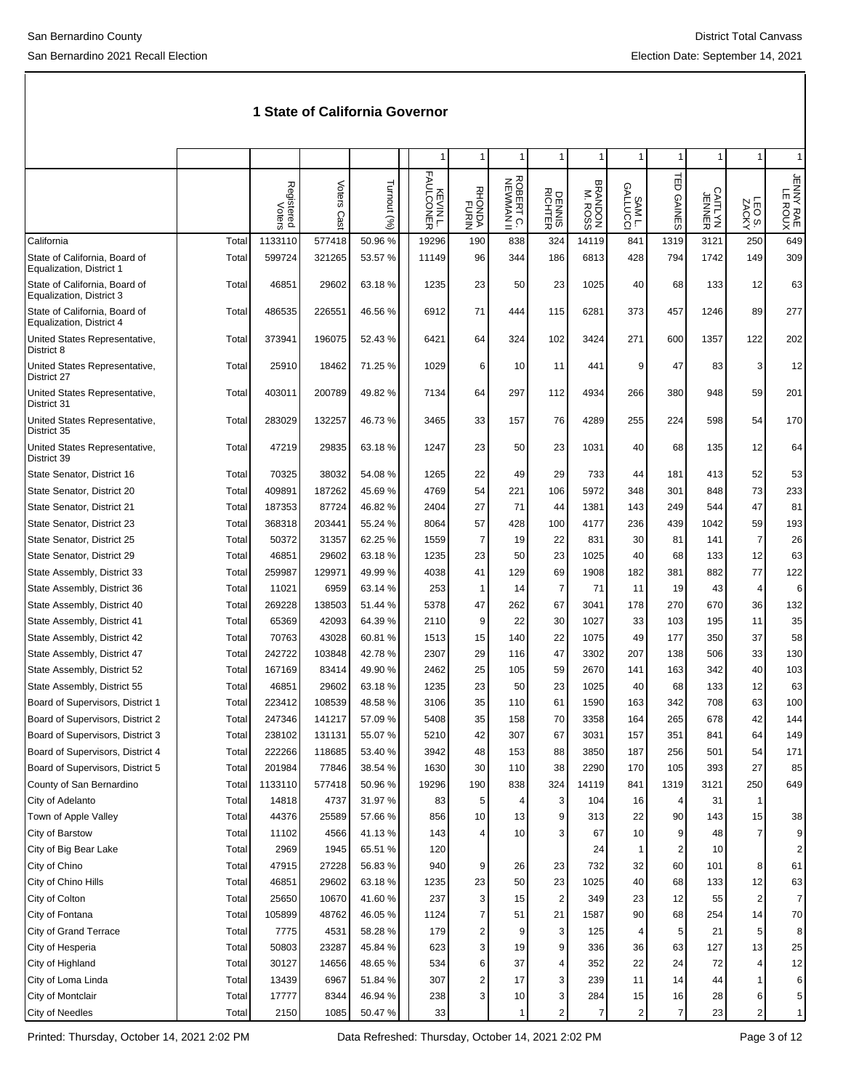|                                                           |       |                      |                |                |                       | 1                       |                        | 1                       | 1                  |                     | 1                       |                   |                             | 1                    |
|-----------------------------------------------------------|-------|----------------------|----------------|----------------|-----------------------|-------------------------|------------------------|-------------------------|--------------------|---------------------|-------------------------|-------------------|-----------------------------|----------------------|
|                                                           |       | Registered<br>Voters | Voters<br>Cast | Turnout<br>(%) | KEVIN L.<br>FAULCONER | RHONDA<br>RHONDA        | ROBERT C.<br>NEWMAN II | DENNIS<br>RICHTER       | BRANDON<br>M. ROSS | の<br>SAML.<br>SAML. | ΈD<br><b>GAINES</b>     | CAITLYN<br>JENNER | LEO <sub>S</sub> .<br>ZACKY | JENNY RAE<br>LE ROUX |
| California                                                | Total | 1133110              | 577418         | 50.96%         | 19296                 | 190                     | 838                    | 324                     | 14119              | 841                 | 1319                    | 3121              | 250                         | 649                  |
| State of California, Board of<br>Equalization, District 1 | Total | 599724               | 321265         | 53.57 %        | 11149                 | 96                      | 344                    | 186                     | 6813               | 428                 | 794                     | 1742              | 149                         | 309                  |
| State of California, Board of<br>Equalization, District 3 | Total | 46851                | 29602          | 63.18%         | 1235                  | 23                      | 50                     | 23                      | 1025               | 40                  | 68                      | 133               | 12                          | 63                   |
| State of California, Board of<br>Equalization, District 4 | Total | 486535               | 226551         | 46.56 %        | 6912                  | 71                      | 444                    | 115                     | 6281               | 373                 | 457                     | 1246              | 89                          | 277                  |
| United States Representative,<br>District 8               | Total | 373941               | 196075         | 52.43%         | 6421                  | 64                      | 324                    | 102                     | 3424               | 271                 | 600                     | 1357              | 122                         | 202                  |
| United States Representative,<br>District 27              | Total | 25910                | 18462          | 71.25 %        | 1029                  | 6                       | 10                     | 11                      | 441                | 9                   | 47                      | 83                | 3                           | 12                   |
| United States Representative,<br>District 31              | Total | 403011               | 200789         | 49.82 %        | 7134                  | 64                      | 297                    | 112                     | 4934               | 266                 | 380                     | 948               | 59                          | 201                  |
| United States Representative,<br>District 35              | Total | 283029               | 132257         | 46.73%         | 3465                  | 33                      | 157                    | 76                      | 4289               | 255                 | 224                     | 598               | 54                          | 170                  |
| United States Representative,<br>District 39              | Total | 47219                | 29835          | 63.18%         | 1247                  | 23                      | 50                     | 23                      | 1031               | 40                  | 68                      | 135               | 12                          | 64                   |
| State Senator, District 16                                | Total | 70325                | 38032          | 54.08%         | 1265                  | 22                      | 49                     | 29                      | 733                | 44                  | 181                     | 413               | 52                          | 53                   |
| State Senator, District 20                                | Total | 409891               | 187262         | 45.69%         | 4769                  | 54                      | 221                    | 106                     | 5972               | 348                 | 301                     | 848               | 73                          | 233                  |
| State Senator, District 21                                | Total | 187353               | 87724          | 46.82 %        | 2404                  | 27                      | 71                     | 44                      | 1381               | 143                 | 249                     | 544               | 47                          | 81                   |
| State Senator, District 23                                | Total | 368318               | 203441         | 55.24 %        | 8064                  | 57                      | 428                    | 100                     | 4177               | 236                 | 439                     | 1042              | 59                          | 193                  |
| State Senator, District 25                                | Total | 50372                | 31357          | 62.25 %        | 1559                  | 7                       | 19                     | 22                      | 831                | 30                  | 81                      | 141               | $\overline{7}$              | 26                   |
| State Senator, District 29                                | Total | 46851                | 29602          | 63.18%         | 1235                  | 23                      | 50                     | 23                      | 1025               | 40                  | 68                      | 133               | 12                          | 63                   |
| State Assembly, District 33                               | Total | 259987               | 129971         | 49.99%         | 4038                  | 41                      | 129                    | 69                      | 1908               | 182                 | 381                     | 882               | 77                          | 122                  |
| State Assembly, District 36                               | Total | 11021                | 6959           | 63.14 %        | 253                   | 1                       | 14                     | 7                       | 71                 | 11                  | 19                      | 43                | $\overline{4}$              | 6                    |
| State Assembly, District 40                               | Total | 269228               | 138503         | 51.44 %        | 5378                  | 47                      | 262                    | 67                      | 3041               | 178                 | 270                     | 670               | 36                          | 132                  |
| State Assembly, District 41                               | Total | 65369                | 42093          | 64.39 %        | 2110                  | 9                       | 22                     | 30                      | 1027               | 33                  | 103                     | 195               | 11                          | 35                   |
| State Assembly, District 42                               | Total | 70763                | 43028          | 60.81%         | 1513                  | 15                      | 140                    | 22                      | 1075               | 49                  | 177                     | 350               | 37                          | 58                   |
| State Assembly, District 47                               | Total | 242722               | 103848         | 42.78%         | 2307                  | 29                      | 116                    | 47                      | 3302               | 207                 | 138                     | 506               | 33                          | 130                  |
| State Assembly, District 52                               | Total | 167169               | 83414          | 49.90%         | 2462                  | 25                      | 105                    | 59                      | 2670               | 141                 | 163                     | 342               | 40                          | 103                  |
| State Assembly, District 55                               | Total | 46851                | 29602          | 63.18%         | 1235                  | 23                      | 50                     | 23                      | 1025               | 40                  | 68                      | 133               | 12                          | 63                   |
| Board of Supervisors, District 1                          | Total | 223412               | 108539         | 48.58 %        | 3106                  | 35                      | 110                    | 61                      | 1590               | 163                 | 342                     | 708               | 63                          | 100                  |
| Board of Supervisors, District 2                          | Total | 247346               | 141217         | 57.09 %        | 5408                  | 35                      | 158                    | 70                      | 3358               | 164                 | 265                     | 678               | 42                          | 144                  |
| Board of Supervisors, District 3                          | Total | 238102               | 131131         | 55.07 %        | 5210                  | 42                      | 307                    | 67                      | 3031               | 157                 | 351                     | 841               | 64                          | 149                  |
| Board of Supervisors, District 4                          | Total | 222266               | 118685         | 53.40 %        | 3942                  | 48                      | 153                    | 88                      | 3850               | 187                 | 256                     | 501               | 54                          | 171                  |
| Board of Supervisors, District 5                          | Total | 201984               | 77846          | 38.54 %        | 1630                  | 30                      | 110                    | 38                      | 2290               | 170                 | 105                     | 393               | 27                          | 85                   |
| County of San Bernardino                                  | Total | 1133110              | 577418         | 50.96%         | 19296                 | 190                     | 838                    | 324                     | 14119              | 841                 | 1319                    | 3121              | 250                         | 649                  |
| City of Adelanto                                          | Total | 14818                | 4737           | 31.97%         | 83                    | 5                       |                        | 3                       | 104                | 16                  | 4                       | 31                | 1                           |                      |
| Town of Apple Valley                                      | Total | 44376                | 25589          | 57.66%         | 856                   | 10                      | 13                     | 9                       | 313                | 22                  | 90                      | 143               | 15                          | 38                   |
| City of Barstow                                           | Total | 11102                | 4566           | 41.13%         | 143                   | 4                       | 10                     | 3                       | 67                 | 10                  | 9                       | 48                | $\overline{7}$              | 9                    |
| City of Big Bear Lake                                     | Total | 2969                 | 1945           | 65.51 %        | 120                   |                         |                        |                         | 24                 | $\mathbf 1$         | $\overline{\mathbf{c}}$ | 10                |                             | $\overline{c}$       |
| City of Chino                                             | Total | 47915                | 27228          | 56.83%         | 940                   | 9                       | 26                     | 23                      | 732                | 32                  | 60                      | 101               | 8                           | 61                   |
| City of Chino Hills                                       | Total | 46851                | 29602          | 63.18%         | 1235                  | 23                      | 50                     | 23                      | 1025               | 40                  | 68                      | 133               | 12                          | 63                   |
| City of Colton                                            | Total | 25650                | 10670          | 41.60%         | 237                   | 3                       | 15                     | 2                       | 349                | 23                  | 12                      | 55                | $\overline{c}$              | 7                    |
| City of Fontana                                           | Total | 105899               | 48762          | 46.05%         | 1124                  | 7                       | 51                     | 21                      | 1587               | 90                  | 68                      | 254               | 14                          | 70                   |
| City of Grand Terrace                                     | Total | 7775                 | 4531           | 58.28%         | 179                   | 2                       | 9                      | 3                       | 125                | 4                   | 5                       | 21                | 5                           | 8                    |
| City of Hesperia                                          | Total | 50803                | 23287          | 45.84 %        | 623                   | 3                       | 19                     | 9                       | 336                | 36                  | 63                      | 127               | 13                          | 25                   |
| City of Highland                                          | Total | 30127                | 14656          | 48.65%         | 534                   | 6                       | 37                     | 4                       | 352                | 22                  | 24                      | 72                | 4                           | 12                   |
| City of Loma Linda                                        | Total | 13439                | 6967           | 51.84 %        | 307                   | $\overline{\mathbf{c}}$ | 17                     | 3                       | 239                | 11                  | 14                      | 44                | 1                           | 6                    |
| City of Montclair                                         | Total | 17777                | 8344           | 46.94 %        | 238                   | $\overline{3}$          | 10 <sub>1</sub>        | 3                       | 284                | 15                  | 16                      | 28                | 6                           | 5                    |
| City of Needles                                           | Total | 2150                 | 1085           | 50.47%         | 33                    |                         | $\mathbf{1}$           | $\overline{\mathbf{c}}$ | $\overline{7}$     | $\overline{2}$      | $\overline{7}$          | 23                | $\overline{c}$              | 1                    |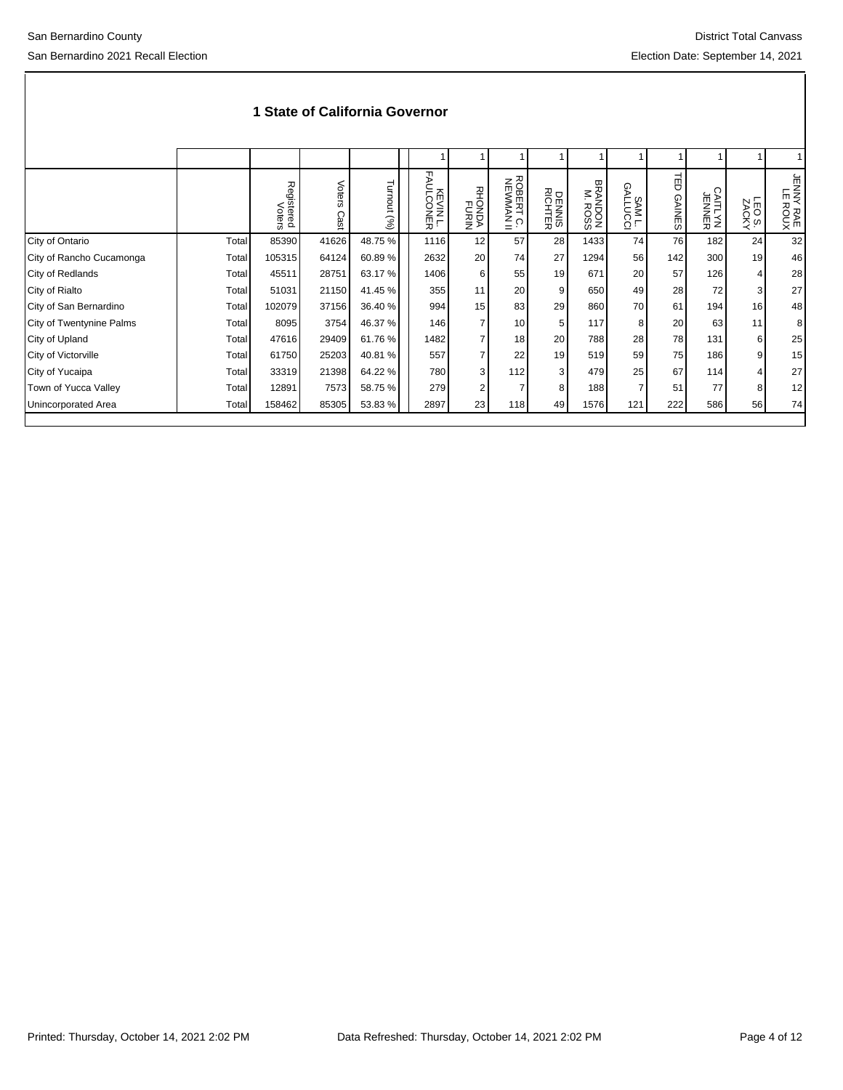|                          |       | Registered<br>Voters | Voters<br>Cas | Turnout<br>$(\%)$ | FAU<br>高<br>$rac{2}{2}$ $rac{2}{2}$<br>贾戸 | RHON<br>POND<br>POND | <b>ROBERT</b><br>NEWMAI<br>بٰ ج | DENNIS<br>RICHTER | BRANDON<br>BRANDON | ⊙<br>SAM L.<br>SAM L. | ᆔ<br>U<br><b>GAINES</b> | CAITLYN<br>UENNER | LEO <sub>S</sub> .<br>ZACKY | JENNY RAE<br>LE ROUX |
|--------------------------|-------|----------------------|---------------|-------------------|-------------------------------------------|----------------------|---------------------------------|-------------------|--------------------|-----------------------|-------------------------|-------------------|-----------------------------|----------------------|
| City of Ontario          | Total | 85390                | 41626         | 48.75 %           | 1116                                      | 12                   | 57                              | 28                | 1433               | 74                    | 76                      | 182               | 24                          | 32                   |
| City of Rancho Cucamonga | Total | 105315               | 64124         | 60.89%            | 2632                                      | 20                   | 74                              | 27                | 1294               | 56                    | 142                     | 300               | 19                          | 46                   |
| City of Redlands         | Total | 45511                | 28751         | 63.17 %           | 1406                                      | 6                    | 55                              | 19                | 671                | 20                    | 57                      | 126               | 4                           | 28                   |
| City of Rialto           | Total | 51031                | 21150         | 41.45 %           | 355                                       | 11                   | 20                              | 9                 | 650                | 49                    | 28                      | 72                | 3                           | 27                   |
| City of San Bernardino   | Total | 102079               | 37156         | 36.40 %           | 994                                       | 15                   | 83                              | 29                | 860                | 70                    | 61                      | 194               | 16                          | 48                   |
| City of Twentynine Palms | Total | 8095                 | 3754          | 46.37 %           | 146                                       | $\overline{7}$       | 10                              | 5                 | 117                | 8                     | 20                      | 63                | 11                          | 8                    |
| City of Upland           | Total | 47616                | 29409         | 61.76%            | 1482                                      |                      | 18                              | 20                | 788                | 28                    | 78                      | 131               | 6                           | 25                   |
| City of Victorville      | Total | 61750                | 25203         | 40.81 %           | 557                                       |                      | 22                              | 19                | 519                | 59                    | 75                      | 186               | 9                           | 15                   |
| City of Yucaipa          | Total | 33319                | 21398         | 64.22 %           | 780                                       | 3                    | 112                             | 3                 | 479                | 25                    | 67                      | 114               | 4                           | 27                   |
| Town of Yucca Valley     | Total | 12891                | 7573          | 58.75 %           | 279                                       | 2                    |                                 | 8                 | 188                |                       | 51                      | 77                | 8                           | 12                   |
| Unincorporated Area      | Total | 158462               | 85305         | 53.83 %           | 2897                                      | 23                   | 118                             | 49                | 1576               | 121                   | 222                     | 586               | 56                          | 74                   |
|                          |       |                      |               |                   |                                           |                      |                                 |                   |                    |                       |                         |                   |                             |                      |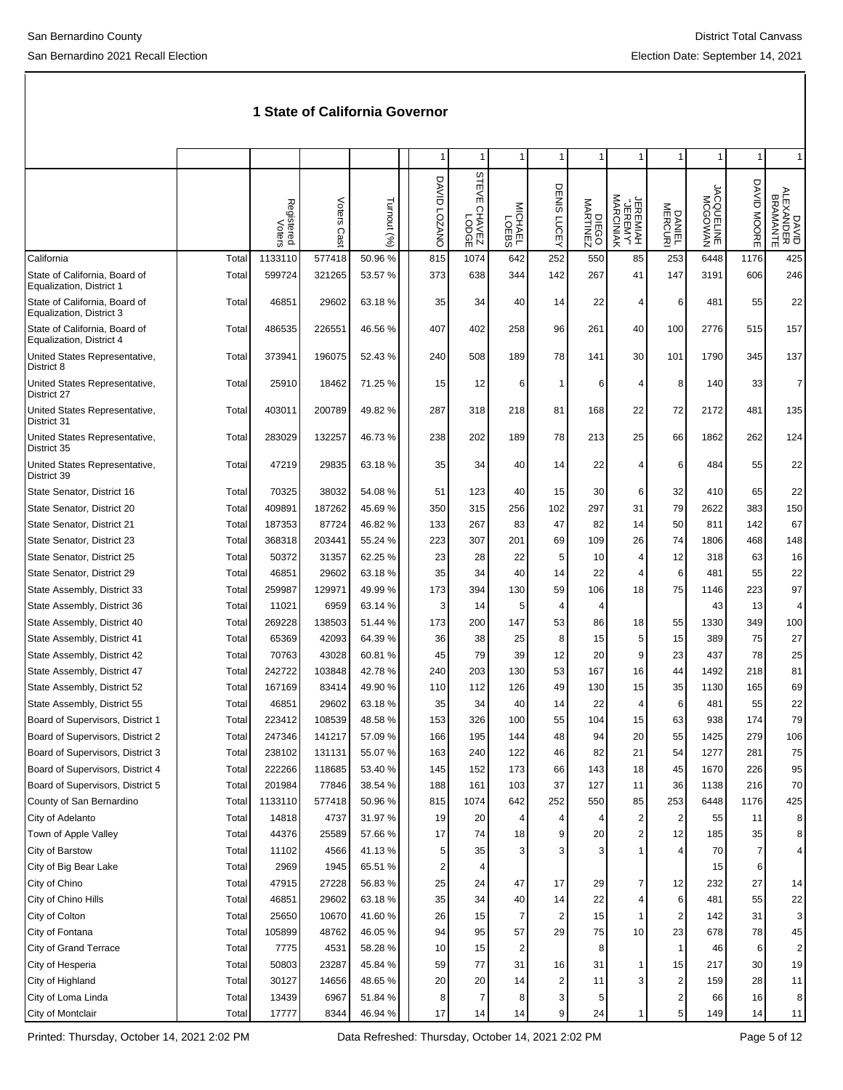|                                                           |                |                      |                |                   | 1                      |                                             |                    | 1                       | 1                    | -1                                |                   |                      | 1              | $\mathbf{1}$                   |
|-----------------------------------------------------------|----------------|----------------------|----------------|-------------------|------------------------|---------------------------------------------|--------------------|-------------------------|----------------------|-----------------------------------|-------------------|----------------------|----------------|--------------------------------|
|                                                           |                | Registered<br>Voters | Voters<br>Cast | Turnout (%)       | DAVID<br><b>COZANO</b> | <b>STEVE</b><br>39001<br>Z3NYH <sub>O</sub> | MICHAEL<br>MICHAEL | DENIS LUCEY             | MARTINEZ<br>MARTINEZ | JEREMIAH<br>"JEREMY"<br>MARCINIAK | DANIEL<br>MERCURI | MACGOWAN<br>BUCCOWAN | DAVID<br>MOORE | DAVID<br>ALEXANDER<br>BRAMANTE |
| California                                                | Total          | 1133110              | 577418         | 50.96 %           | 815                    | 1074                                        | 642                | 252                     | 550                  | 85                                | 253               | 6448                 | 1176           | 425                            |
| State of California, Board of<br>Equalization, District 1 | Total          | 599724               | 321265         | 53.57 %           | 373                    | 638                                         | 344                | 142                     | 267                  | 41                                | 147               | 3191                 | 606            | 246                            |
| State of California, Board of<br>Equalization, District 3 | Total          | 46851                | 29602          | 63.18%            | 35                     | 34                                          | 40                 | 14                      | 22                   | 4                                 | 6                 | 481                  | 55             | 22                             |
| State of California, Board of<br>Equalization, District 4 | Total          | 486535               | 226551         | 46.56 %           | 407                    | 402                                         | 258                | 96                      | 261                  | 40                                | 100               | 2776                 | 515            | 157                            |
| United States Representative,<br>District 8               | Total          | 373941               | 196075         | 52.43%            | 240                    | 508                                         | 189                | 78                      | 141                  | 30                                | 101               | 1790                 | 345            | 137                            |
| United States Representative,<br>District 27              | Total          | 25910                | 18462          | 71.25 %           | 15                     | 12                                          | 6                  | 1                       | 6                    | 4                                 | 8                 | 140                  | 33             | 7                              |
| United States Representative,<br>District 31              | Total          | 403011               | 200789         | 49.82%            | 287                    | 318                                         | 218                | 81                      | 168                  | 22                                | 72                | 2172                 | 481            | 135                            |
| United States Representative,<br>District 35              | Total          | 283029               | 132257         | 46.73%            | 238                    | 202                                         | 189                | 78                      | 213                  | 25                                | 66                | 1862                 | 262            | 124                            |
| United States Representative,<br>District 39              | Total          | 47219                | 29835          | 63.18%            | 35                     | 34                                          | 40                 | 14                      | 22                   | $\overline{4}$                    | 6                 | 484                  | 55             | 22                             |
| State Senator, District 16                                | Total          | 70325                | 38032          | 54.08 %           | 51                     | 123                                         | 40                 | 15                      | 30                   | 6                                 | 32                | 410                  | 65             | 22                             |
| State Senator, District 20                                | Total          | 409891               | 187262         | 45.69%            | 350                    | 315                                         | 256                | 102                     | 297                  | 31                                | 79                | 2622                 | 383            | 150                            |
| State Senator, District 21                                | Total          | 187353               | 87724          | 46.82%            | 133                    | 267                                         | 83                 | 47                      | 82                   | 14                                | 50                | 811                  | 142            | 67                             |
| State Senator, District 23                                | Total          | 368318               | 203441         | 55.24 %           | 223                    | 307                                         | 201                | 69                      | 109                  | 26                                | 74                | 1806                 | 468            | 148                            |
| State Senator, District 25                                | Total          | 50372                | 31357          | 62.25 %           | 23                     | 28                                          | 22                 | 5                       | 10                   | 4                                 | 12                | 318                  | 63             | 16                             |
| State Senator, District 29                                | Total          | 46851                | 29602          | 63.18%            | 35                     | 34                                          | 40                 | 14                      | 22                   | 4                                 | 6                 | 481                  | 55             | 22                             |
| State Assembly, District 33                               | Total          | 259987               | 129971         | 49.99%            | 173                    | 394                                         | 130                | 59                      | 106                  | 18                                | 75                | 1146                 | 223            | 97                             |
| State Assembly, District 36                               | Total          | 11021                | 6959           | 63.14 %           | 3                      | 14                                          | 5                  | 4                       | 4                    |                                   |                   | 43                   | 13             | 4                              |
| State Assembly, District 40                               | Total          | 269228               | 138503         | 51.44 %           | 173                    | 200                                         | 147                | 53                      | 86                   | 18                                | 55                | 1330                 | 349            | 100                            |
| State Assembly, District 41                               | Total          | 65369                | 42093          | 64.39 %           | 36                     | 38                                          | 25                 | 8                       | 15                   | 5                                 | 15                | 389                  | 75             | 27                             |
| State Assembly, District 42                               | Total          | 70763                | 43028          | 60.81%            | 45                     | 79                                          | 39                 | 12                      | 20                   | 9                                 | 23                | 437                  | 78             | 25                             |
| State Assembly, District 47                               | Total          | 242722               | 103848         | 42.78%            | 240                    | 203                                         | 130                | 53                      | 167                  | 16                                | 44                | 1492                 | 218            | 81                             |
| State Assembly, District 52                               | Total          | 167169               | 83414          | 49.90 %           | 110                    | 112                                         | 126                | 49                      | 130                  | 15                                | 35                | 1130                 | 165            | 69                             |
| State Assembly, District 55                               | Total          | 46851                | 29602          | 63.18%            | 35                     | 34                                          | 40                 | 14                      | 22                   | 4                                 | 6                 | 481                  | 55             | 22                             |
| Board of Supervisors, District 1                          | Total          | 223412               | 108539         | 48.58 %           | 153                    | 326                                         | 100                | 55                      | 104                  | 15                                | 63                | 938                  | 174            | 79                             |
| Board of Supervisors, District 2                          | Total          | 247346               | 141217         | 57.09 %           | 166                    | 195                                         | 144                | 48                      | 94                   | 20                                | 55                | 1425                 | 279            | 106                            |
| Board of Supervisors, District 3                          | Total          | 238102               | 131131         | 55.07%            | 163                    | 240                                         | 122                | 46                      | 82                   | 21                                | 54                | 1277                 | 281            | 75                             |
| Board of Supervisors, District 4                          | Total          | 222266               | 118685         | 53.40 %           | 145                    | 152                                         | 173                | 66                      | 143                  | 18                                | 45                | 1670                 | 226            | 95                             |
| Board of Supervisors, District 5                          | Total          | 201984               | 77846          | 38.54 %           | 188                    | 161                                         | 103                | 37                      | 127                  | 11                                | 36                | 1138                 | 216            | 70                             |
| County of San Bernardino                                  | Total          | 1133110              | 577418         | 50.96%            | 815                    | 1074                                        | 642                | 252                     | 550                  | 85                                | 253               | 6448                 | 1176           | 425                            |
| City of Adelanto<br>Town of Apple Valley                  | Total          | 14818<br>44376       | 4737<br>25589  | 31.97%<br>57.66 % | 19                     | 20                                          | 4                  | 4<br>9                  | 4                    | $\mathbf 2$<br>$\boldsymbol{2}$   | 2<br>12           | 55<br>185            | 11<br>35       | 8                              |
| City of Barstow                                           | Total<br>Total | 11102                | 4566           | 41.13%            | 17<br>5                | 74<br>35                                    | 18<br>3            | 3                       | 20                   |                                   | 4                 | 70                   | 7              | 8<br>4                         |
| City of Big Bear Lake                                     | Total          | 2969                 | 1945           | 65.51 %           | 2                      | 4                                           |                    |                         |                      |                                   |                   | 15                   | 6              |                                |
| City of Chino                                             | Total          | 47915                | 27228          | 56.83%            | 25                     | 24                                          | 47                 | 17                      | 29                   | 7                                 | 12                | 232                  | 27             | 14                             |
| City of Chino Hills                                       | Total          | 46851                | 29602          | 63.18%            | 35                     | 34                                          | 40                 | 14                      | 22                   | 4                                 | 6                 | 481                  | 55             | 22                             |
| City of Colton                                            | Total          | 25650                | 10670          | 41.60%            | 26                     | 15                                          | 7                  | $\overline{\mathbf{c}}$ | 15                   | $\mathbf{1}$                      | 2                 | 142                  | 31             | 3                              |
| City of Fontana                                           | Total          | 105899               | 48762          | 46.05%            | 94                     | 95                                          | 57                 | 29                      | 75                   | 10                                | 23                | 678                  | 78             | 45                             |
| City of Grand Terrace                                     | Total          | 7775                 | 4531           | 58.28 %           | 10                     | 15                                          | 2                  |                         | 8                    |                                   | 1                 | 46                   | 6              | 2                              |
| City of Hesperia                                          | Total          | 50803                | 23287          | 45.84 %           | 59                     | 77                                          | 31                 | 16                      | 31                   | 1                                 | 15                | 217                  | 30             | 19                             |
| City of Highland                                          | Total          | 30127                | 14656          | 48.65%            | 20                     | 20                                          | 14                 | 2                       | 11                   | 3                                 | $\overline{c}$    | 159                  | 28             | 11                             |
| City of Loma Linda                                        | Total          | 13439                | 6967           | 51.84 %           | 8                      | 7                                           | 8                  | 3                       | 5                    |                                   | $\overline{c}$    | 66                   | 16             | 8                              |
| City of Montclair                                         | Total          | 17777                | 8344           | 46.94 %           | 17                     | 14                                          | 14                 | 9                       | 24                   | $\mathbf{1}$                      | 5 <sup>1</sup>    | 149                  | 14             | 11                             |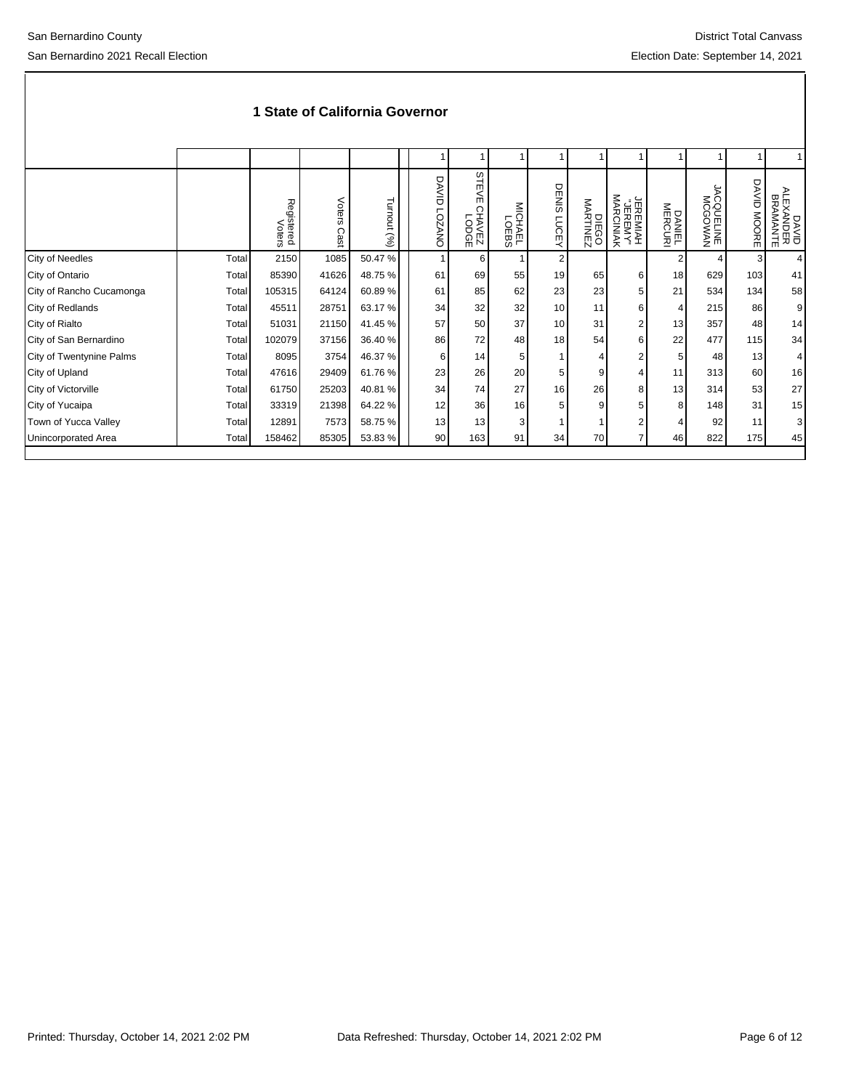|                          |       | Registered<br>Voters | Voters<br>Cast | Turnout (%) | DAVID<br><b>COZANO</b> | STE<br>$\mathsf{m}$<br>LODGE<br>SEVALS | MICHAEL<br>UDERS | DENIS<br>LUCEY  | DIEGO<br>MARTINEZ | ₹<br>JEREMIAH<br>"JEREMY"<br>MARCINIAK | DANIEL<br>MERCURI | MAWOOOM<br>SQUELINE | <b>DAVID</b><br><b>MOORE</b> | DAVID<br>NLEXANDER<br>BRAMANTE |
|--------------------------|-------|----------------------|----------------|-------------|------------------------|----------------------------------------|------------------|-----------------|-------------------|----------------------------------------|-------------------|---------------------|------------------------------|--------------------------------|
| <b>City of Needles</b>   | Total | 2150                 | 1085           | 50.47%      | 1                      | <sup>6</sup>                           |                  | $\overline{2}$  |                   |                                        | $\overline{2}$    | 4                   | 3                            | 4                              |
| City of Ontario          | Total | 85390                | 41626          | 48.75%      | 61                     | 69                                     | 55               | 19              | 65                | 6                                      | 18                | 629                 | 103                          | 41                             |
| City of Rancho Cucamonga | Total | 105315               | 64124          | 60.89%      | 61                     | 85                                     | 62               | 23              | 23                | 5                                      | 21                | 534                 | 134                          | 58                             |
| City of Redlands         | Total | 45511                | 28751          | 63.17 %     | 34                     | 32                                     | 32               | 10 <sup>1</sup> | 11                | 6                                      | 4                 | 215                 | 86                           | 9 <sub>l</sub>                 |
| City of Rialto           | Total | 51031                | 21150          | 41.45 %     | 57                     | 50                                     | 37               | 10 <sup>1</sup> | 31                | 2                                      | 13                | 357                 | 48                           | 14                             |
| City of San Bernardino   | Total | 102079               | 37156          | 36.40 %     | 86                     | 72                                     | 48               | 18              | 54                | 6                                      | 22                | 477                 | 115                          | 34                             |
| City of Twentynine Palms | Total | 8095                 | 3754           | 46.37 %     | 6                      | 14                                     | 5                |                 |                   | 2                                      | 5                 | 48                  | 13                           | 4 <sup>1</sup>                 |
| City of Upland           | Total | 47616                | 29409          | 61.76 %     | 23                     | 26                                     | 20               | 5               | 9                 |                                        | 11                | 313                 | 60                           | 16                             |
| City of Victorville      | Total | 61750                | 25203          | 40.81%      | 34                     | 74                                     | 27               | 16              | 26                | 8                                      | 13                | 314                 | 53                           | 27                             |
| City of Yucaipa          | Total | 33319                | 21398          | 64.22 %     | 12                     | 36                                     | 16               |                 | 9                 | 5                                      | 8                 | 148                 | 31                           | 15                             |
| Town of Yucca Valley     | Total | 12891                | 7573           | 58.75 %     | 13                     | 13                                     | 3                |                 |                   | 2                                      |                   | 92                  | 11                           | 3 <sup>1</sup>                 |
| Unincorporated Area      | Total | 158462               | 85305          | 53.83 %     | 90                     | 163                                    | 91               | 34              | 70                | 7                                      | 46                | 822                 | 175                          | 45                             |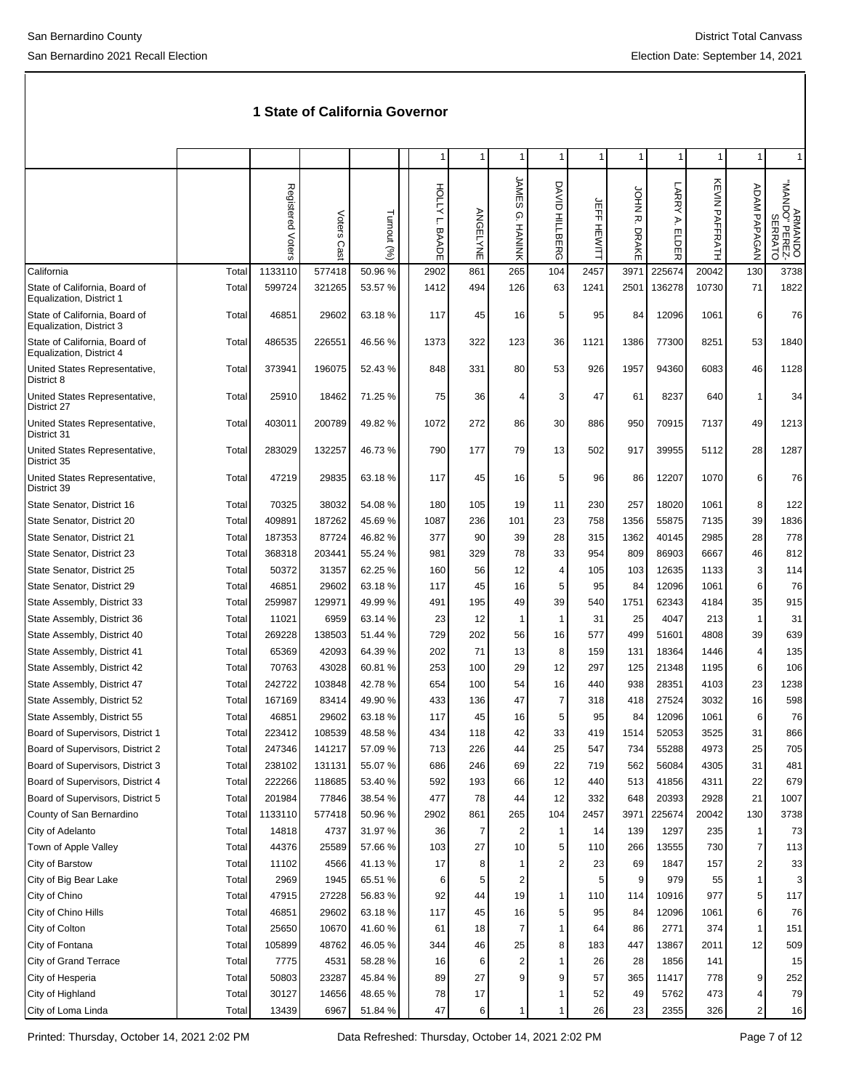|                                                           |       |                   |                |             | 1                       | 1              | 1                            | 1                        |                         |                                  |                                 |                | 1              | 1                                   |
|-----------------------------------------------------------|-------|-------------------|----------------|-------------|-------------------------|----------------|------------------------------|--------------------------|-------------------------|----------------------------------|---------------------------------|----------------|----------------|-------------------------------------|
|                                                           |       | Registered Voters | Voters<br>Cast | Turnout (%) | HOLLYL.<br><b>BAADE</b> | ANGELYNE       | JAMES<br>ō.<br><b>HANINK</b> | DAVID<br><b>HILLBERG</b> | 군<br>구<br><b>HEWITT</b> | <b>PHOL</b><br>ᄌ<br><b>DRAKE</b> | <b>LARRY</b><br>₹.<br>ELDE<br>观 | KEVIN PAFFRATH | ADAM PAPAGAN   | ARMANDO<br>"NAND" PEREZ-<br>SERRATO |
| California                                                | Total | 1133110           | 577418         | 50.96%      | 2902                    | 861            | 265                          | 104                      | 2457                    | 3971                             | 225674                          | 20042          | 130            | 3738                                |
| State of California, Board of<br>Equalization, District 1 | Total | 599724            | 321265         | 53.57 %     | 1412                    | 494            | 126                          | 63                       | 1241                    | 2501                             | 136278                          | 10730          | 71             | 1822                                |
| State of California, Board of<br>Equalization, District 3 | Total | 46851             | 29602          | 63.18%      | 117                     | 45             | 16                           | 5                        | 95                      | 84                               | 12096                           | 1061           | 6              | 76                                  |
| State of California, Board of<br>Equalization, District 4 | Total | 486535            | 226551         | 46.56 %     | 1373                    | 322            | 123                          | 36                       | 1121                    | 1386                             | 77300                           | 8251           | 53             | 1840                                |
| United States Representative,<br>District 8               | Total | 373941            | 196075         | 52.43%      | 848                     | 331            | 80                           | 53                       | 926                     | 1957                             | 94360                           | 6083           | 46             | 1128                                |
| United States Representative,<br>District 27              | Total | 25910             | 18462          | 71.25 %     | 75                      | 36             | 4                            | 3                        | 47                      | 61                               | 8237                            | 640            | $\mathbf{1}$   | 34                                  |
| United States Representative,<br>District 31              | Total | 403011            | 200789         | 49.82%      | 1072                    | 272            | 86                           | 30                       | 886                     | 950                              | 70915                           | 7137           | 49             | 1213                                |
| United States Representative,<br>District 35              | Total | 283029            | 132257         | 46.73%      | 790                     | 177            | 79                           | 13                       | 502                     | 917                              | 39955                           | 5112           | 28             | 1287                                |
| United States Representative,<br>District 39              | Total | 47219             | 29835          | 63.18%      | 117                     | 45             | 16                           | 5                        | 96                      | 86                               | 12207                           | 1070           | 6              | 76                                  |
| State Senator, District 16                                | Total | 70325             | 38032          | 54.08%      | 180                     | 105            | 19                           | 11                       | 230                     | 257                              | 18020                           | 1061           | 8              | 122                                 |
| State Senator, District 20                                | Total | 409891            | 187262         | 45.69%      | 1087                    | 236            | 101                          | 23                       | 758                     | 1356                             | 55875                           | 7135           | 39             | 1836                                |
| State Senator, District 21                                | Total | 187353            | 87724          | 46.82%      | 377                     | 90             | 39                           | 28                       | 315                     | 1362                             | 40145                           | 2985           | 28             | 778                                 |
| State Senator, District 23                                | Total | 368318            | 203441         | 55.24 %     | 981                     | 329            | 78                           | 33                       | 954                     | 809                              | 86903                           | 6667           | 46             | 812                                 |
| State Senator, District 25                                | Total | 50372             | 31357          | 62.25 %     | 160                     | 56             | 12                           | 4                        | 105                     | 103                              | 12635                           | 1133           | 3              | 114                                 |
| State Senator, District 29                                | Total | 46851             | 29602          | 63.18%      | 117                     | 45             | 16                           | 5                        | 95                      | 84                               | 12096                           | 1061           | 6              | 76                                  |
| State Assembly, District 33                               | Total | 259987            | 129971         | 49.99%      | 491                     | 195            | 49                           | 39                       | 540                     | 1751                             | 62343                           | 4184           | 35             | 915                                 |
| State Assembly, District 36                               | Total | 11021             | 6959           | 63.14 %     | 23                      | 12             | $\overline{1}$               | 1                        | 31                      | 25                               | 4047                            | 213            | 1              | 31                                  |
| State Assembly, District 40                               | Total | 269228            | 138503         | 51.44 %     | 729                     | 202            | 56                           | 16                       | 577                     | 499                              | 51601                           | 4808           | 39             | 639                                 |
| State Assembly, District 41                               | Total | 65369             | 42093          | 64.39 %     | 202                     | 71             | 13                           | 8                        | 159                     | 131                              | 18364                           | 1446           | 4              | 135                                 |
| State Assembly, District 42                               | Total | 70763             | 43028          | 60.81%      | 253                     | 100            | 29                           | 12                       | 297                     | 125                              | 21348                           | 1195           | 6              | 106                                 |
| State Assembly, District 47                               | Total | 242722            | 103848         | 42.78%      | 654                     | 100            | 54                           | 16                       | 440                     | 938                              | 28351                           | 4103           | 23             | 1238                                |
| State Assembly, District 52                               | Total | 167169            | 83414          | 49.90 %     | 433                     | 136            | 47                           | 7                        | 318                     | 418                              | 27524                           | 3032           | 16             | 598                                 |
| State Assembly, District 55                               | Total | 46851             | 29602          | 63.18%      | 117                     | 45             | 16                           | 5                        | 95                      | 84                               | 12096                           | 1061           | 6              | 76                                  |
| Board of Supervisors, District 1                          | Total | 223412            | 108539         | 48.58%      | 434                     | 118            | 42                           | 33                       | 419                     | 1514                             | 52053                           | 3525           | 31             | 866                                 |
| Board of Supervisors, District 2                          | Total | 247346            | 141217         | 57.09 %     | 713                     | 226            | 44                           | 25                       | 547                     | 734                              | 55288                           | 4973           | 25             | 705                                 |
| Board of Supervisors, District 3                          | Total | 238102            | 131131         | 55.07%      | 686                     | 246            | 69                           | 22                       | 719                     | 562                              | 56084                           | 4305           | 31             | 481                                 |
| Board of Supervisors, District 4                          | Total | 222266            | 118685         | 53.40 %     | 592                     | 193            | 66                           | 12                       | 440                     | 513                              | 41856                           | 4311           | 22             | 679                                 |
| Board of Supervisors, District 5                          | Total | 201984            | 77846          | 38.54 %     | 477                     | 78             | 44                           | 12                       | 332                     | 648                              | 20393                           | 2928           | 21             | 1007                                |
| County of San Bernardino                                  | Total | 1133110           | 577418         | 50.96%      | 2902                    | 861            | 265                          | 104                      | 2457                    | 3971                             | 225674                          | 20042          | 130            | 3738                                |
| City of Adelanto                                          | Total | 14818             | 4737           | 31.97%      | 36                      | $\overline{7}$ | 2                            | 1                        | 14                      | 139                              | 1297                            | 235            | 1              | 73                                  |
| Town of Apple Valley                                      | Total | 44376             | 25589          | 57.66%      | 103                     | 27             | 10                           | 5                        | 110                     | 266                              | 13555                           | 730            | $\overline{7}$ | 113                                 |
| City of Barstow                                           | Total | 11102             | 4566           | 41.13%      | 17                      | 8              |                              | 2                        | 23                      | 69                               | 1847                            | 157            | 2              | 33                                  |
| City of Big Bear Lake                                     | Total | 2969              | 1945           | 65.51 %     | 6                       | 5              | 2                            |                          | 5                       | 9                                | 979                             | 55             | 1              | 3                                   |
| City of Chino                                             | Total | 47915             | 27228          | 56.83%      | 92                      | 44             | 19                           | 1                        | 110                     | 114                              | 10916                           | 977            | 5              | 117                                 |
| City of Chino Hills                                       | Total | 46851             | 29602          | 63.18%      | 117                     | 45             | 16                           | 5                        | 95                      | 84                               | 12096                           | 1061           | 6              | 76                                  |
| City of Colton                                            | Total | 25650             | 10670          | 41.60%      | 61                      | 18             | 7                            | 1                        | 64                      | 86                               | 2771                            | 374            | 1              | 151                                 |
| City of Fontana                                           | Total | 105899            | 48762          | 46.05%      | 344                     | 46             | 25                           | 8                        | 183                     | 447                              | 13867                           | 2011           | 12             | 509                                 |
| City of Grand Terrace                                     | Total | 7775              | 4531           | 58.28%      | 16                      | 6              | $\overline{2}$               | 1                        | 26                      | 28                               | 1856                            | 141            |                | 15                                  |
| City of Hesperia                                          | Total | 50803             | 23287          | 45.84 %     | 89                      | 27             | 9                            | 9                        | 57                      | 365                              | 11417                           | 778            | 9              | 252                                 |
| City of Highland                                          | Total | 30127             | 14656          | 48.65%      | 78                      | 17             |                              | 1                        | 52                      | 49                               | 5762                            | 473            | 4              | 79                                  |
| City of Loma Linda                                        | Total | 13439             | 6967           | 51.84 %     | 47                      | 6              | 1                            | 1                        | 26                      | 23                               | 2355                            | 326            | $\overline{c}$ | 16                                  |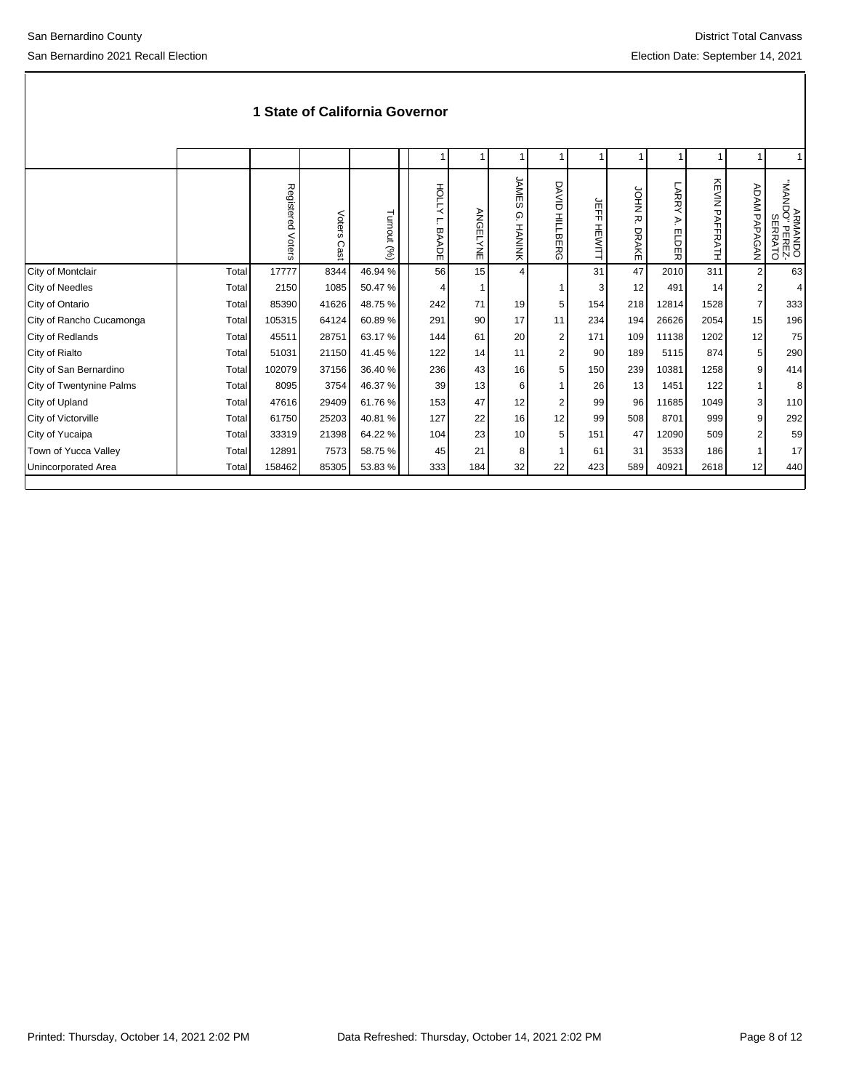|                          |       | Registered<br>Voters | Voters<br>Cast | Turnout (%) | HOLLY<br>┍<br><b>BAADE</b> | ANGELYNE | JAME<br>w<br>ِ @<br><b>HANINK</b> | DAVID<br><b>HILLBERG</b> | 유도<br>HEWITT | SPHO<br>ᅎ<br><b>DRAKE</b> | LARRY<br>₹.<br><b>ELDER</b> | <b>KEVIN PAFFRATH</b> | <b>ADAM PAPAGAN</b> | UNAN"<br>ARMANDO<br>DO" PEREZ-<br>SERRATO |
|--------------------------|-------|----------------------|----------------|-------------|----------------------------|----------|-----------------------------------|--------------------------|--------------|---------------------------|-----------------------------|-----------------------|---------------------|-------------------------------------------|
| City of Montclair        | Total | 17777                | 8344           | 46.94 %     | 56                         | 15       | $\overline{4}$                    |                          | 31           | 47                        | 2010                        | 311                   | $\overline{2}$      | 63                                        |
| <b>City of Needles</b>   | Total | 2150                 | 1085           | 50.47%      | 4                          |          |                                   |                          | 3            | 12                        | 491                         | 14                    | 2                   | $\vert$                                   |
| City of Ontario          | Total | 85390                | 41626          | 48.75 %     | 242                        | 71       | 19                                | 5                        | 154          | 218                       | 12814                       | 1528                  | $\overline{7}$      | 333                                       |
| City of Rancho Cucamonga | Total | 105315               | 64124          | 60.89%      | 291                        | 90       | 17                                | 11                       | 234          | 194                       | 26626                       | 2054                  | 15                  | 196                                       |
| City of Redlands         | Total | 45511                | 28751          | 63.17 %     | 144                        | 61       | 20                                | $\overline{2}$           | 171          | 109                       | 11138                       | 1202                  | 12                  | 75                                        |
| City of Rialto           | Total | 51031                | 21150          | 41.45 %     | 122                        | 14       | 11                                | $\overline{2}$           | 90           | 189                       | 5115                        | 874                   | 5 <sup>5</sup>      | 290                                       |
| City of San Bernardino   | Total | 102079               | 37156          | 36.40 %     | 236                        | 43       | 16                                | 5                        | 150          | 239                       | 10381                       | 1258                  | 9 <sup>1</sup>      | 414                                       |
| City of Twentynine Palms | Total | 8095                 | 3754           | 46.37 %     | 39                         | 13       | 6                                 |                          | 26           | 13                        | 1451                        | 122                   |                     | 8 <sup>1</sup>                            |
| City of Upland           | Total | 47616                | 29409          | 61.76 %     | 153                        | 47       | 12                                | $\overline{2}$           | 99           | 96                        | 11685                       | 1049                  | 3                   | 110                                       |
| City of Victorville      | Total | 61750                | 25203          | 40.81%      | 127                        | 22       | 16                                | 12                       | 99           | 508                       | 8701                        | 999                   | 9                   | 292                                       |
| City of Yucaipa          | Total | 33319                | 21398          | 64.22 %     | 104                        | 23       | 10                                | 5                        | 151          | 47                        | 12090                       | 509                   | 2                   | 59                                        |
| Town of Yucca Valley     | Total | 12891                | 7573           | 58.75 %     | 45                         | 21       | 8                                 |                          | 61           | 31                        | 3533                        | 186                   |                     | 17                                        |
| Unincorporated Area      | Total | 158462               | 85305          | 53.83 %     | 333                        | 184      | 32                                | 22                       | 423          | 589                       | 40921                       | 2618                  | 12                  | 440                                       |
|                          |       |                      |                |             |                            |          |                                   |                          |              |                           |                             |                       |                     |                                           |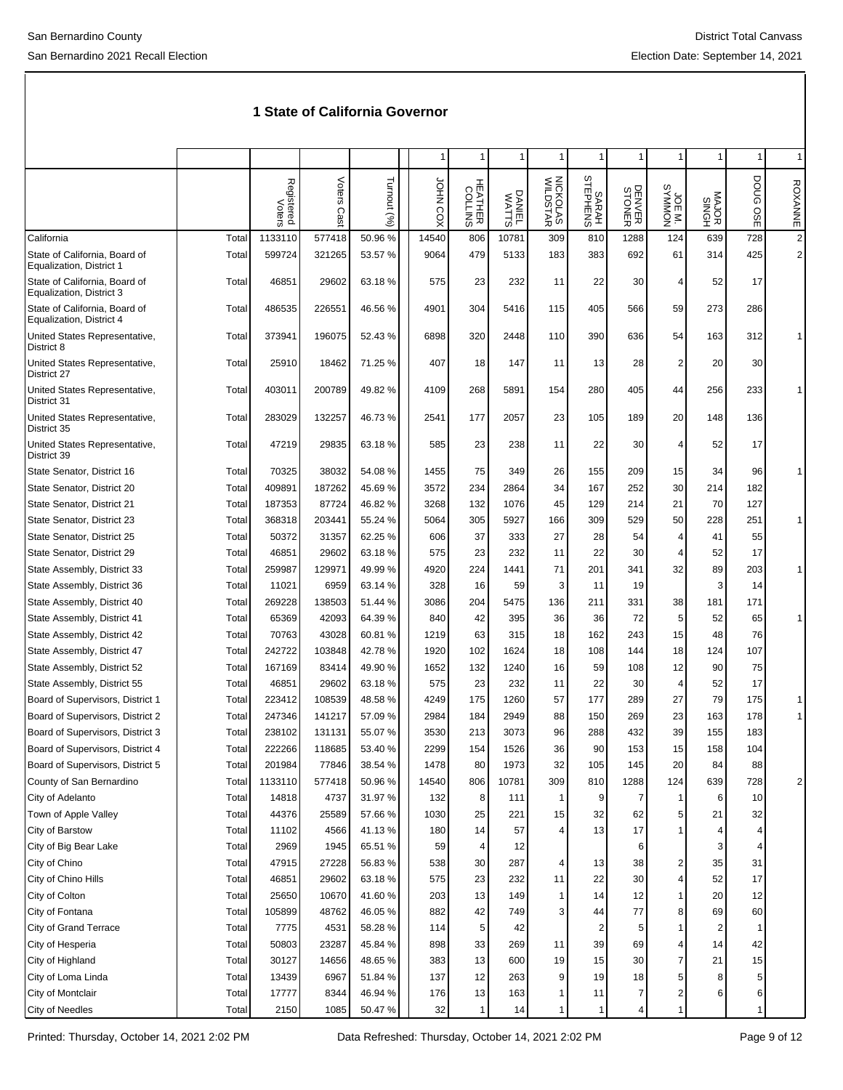|                                                           |       |                      |                |             | 1               |                           |                 | 1                    |                         |                  |                    | 1              | 1                  | $\mathbf{1}$   |
|-----------------------------------------------------------|-------|----------------------|----------------|-------------|-----------------|---------------------------|-----------------|----------------------|-------------------------|------------------|--------------------|----------------|--------------------|----------------|
|                                                           |       | Registered<br>Voters | Voters<br>Cast | Turnout (%) | <b>JOHN COX</b> | <b>HEATHER</b><br>COLLINS | DANIEL<br>WATTS | NICKOLAS<br>WILDSTAR | SARAH<br>STEPHENS       | DENVER<br>STONER | TWINDOW<br>SYMMON. | MAJOR<br>SINGH | DOUG<br><b>OSE</b> | <b>ROXANNE</b> |
| California                                                | Total | 1133110              | 577418         | 50.96%      | 14540           | 806                       | 10781           | 309                  | 810                     | 1288             | 124                | 639            | 728                | $\overline{2}$ |
| State of California, Board of<br>Equalization, District 1 | Total | 599724               | 321265         | 53.57 %     | 9064            | 479                       | 5133            | 183                  | 383                     | 692              | 61                 | 314            | 425                | $\overline{2}$ |
| State of California, Board of<br>Equalization, District 3 | Total | 46851                | 29602          | 63.18%      | 575             | 23                        | 232             | 11                   | 22                      | 30               | 4                  | 52             | 17                 |                |
| State of California, Board of<br>Equalization, District 4 | Total | 486535               | 226551         | 46.56 %     | 4901            | 304                       | 5416            | 115                  | 405                     | 566              | 59                 | 273            | 286                |                |
| United States Representative,<br>District 8               | Total | 373941               | 196075         | 52.43%      | 6898            | 320                       | 2448            | 110                  | 390                     | 636              | 54                 | 163            | 312                |                |
| United States Representative,<br>District 27              | Total | 25910                | 18462          | 71.25 %     | 407             | 18                        | 147             | 11                   | 13                      | 28               | 2                  | 20             | 30                 |                |
| United States Representative,<br>District 31              | Total | 403011               | 200789         | 49.82 %     | 4109            | 268                       | 5891            | 154                  | 280                     | 405              | 44                 | 256            | 233                |                |
| United States Representative,<br>District 35              | Total | 283029               | 132257         | 46.73%      | 2541            | 177                       | 2057            | 23                   | 105                     | 189              | 20                 | 148            | 136                |                |
| United States Representative,<br>District 39              | Total | 47219                | 29835          | 63.18%      | 585             | 23                        | 238             | 11                   | 22                      | 30               | 4                  | 52             | 17                 |                |
| State Senator, District 16                                | Total | 70325                | 38032          | 54.08%      | 1455            | 75                        | 349             | 26                   | 155                     | 209              | 15                 | 34             | 96                 |                |
| State Senator, District 20                                | Total | 409891               | 187262         | 45.69%      | 3572            | 234                       | 2864            | 34                   | 167                     | 252              | 30                 | 214            | 182                |                |
| State Senator, District 21                                | Total | 187353               | 87724          | 46.82%      | 3268            | 132                       | 1076            | 45                   | 129                     | 214              | 21                 | 70             | 127                |                |
| State Senator, District 23                                | Total | 368318               | 203441         | 55.24 %     | 5064            | 305                       | 5927            | 166                  | 309                     | 529              | 50                 | 228            | 251                | 1              |
| State Senator, District 25                                | Total | 50372                | 31357          | 62.25 %     | 606             | 37                        | 333             | 27                   | 28                      | 54               | 4                  | 41             | 55                 |                |
| State Senator, District 29                                | Total | 46851                | 29602          | 63.18%      | 575             | 23                        | 232             | 11                   | 22                      | 30               | 4                  | 52             | 17                 |                |
| State Assembly, District 33                               | Total | 259987               | 129971         | 49.99%      | 4920            | 224                       | 1441            | 71                   | 201                     | 341              | 32                 | 89             | 203                | 1              |
| State Assembly, District 36                               | Total | 11021                | 6959           | 63.14 %     | 328             | 16                        | 59              | 3                    | 11                      | 19               |                    | 3              | 14                 |                |
| State Assembly, District 40                               | Total | 269228               | 138503         | 51.44 %     | 3086            | 204                       | 5475            | 136                  | 211                     | 331              | 38                 | 181            | 171                |                |
| State Assembly, District 41                               | Total | 65369                | 42093          | 64.39 %     | 840             | 42                        | 395             | 36                   | 36                      | 72               | 5                  | 52             | 65                 | 1              |
| State Assembly, District 42                               | Total | 70763                | 43028          | 60.81 %     | 1219            | 63                        | 315             | 18                   | 162                     | 243              | 15                 | 48             | 76                 |                |
| State Assembly, District 47                               | Total | 242722               | 103848         | 42.78%      | 1920            | 102                       | 1624            | 18                   | 108                     | 144              | 18                 | 124            | 107                |                |
| State Assembly, District 52                               | Total | 167169               | 83414          | 49.90 %     | 1652            | 132                       | 1240            | 16                   | 59                      | 108              | 12                 | 90             | 75                 |                |
| State Assembly, District 55                               | Total | 46851                | 29602          | 63.18%      | 575             | 23                        | 232             | 11                   | 22                      | 30               | 4                  | 52             | 17                 |                |
| Board of Supervisors, District 1                          | Total | 223412               | 108539         | 48.58%      | 4249            | 175                       | 1260            | 57                   | 177                     | 289              | 27                 | 79             | 175                | 1              |
| Board of Supervisors, District 2                          | Total | 247346               | 141217         | 57.09 %     | 2984            | 184                       | 2949            | 88                   | 150                     | 269              | 23                 | 163            | 178                | 1              |
| Board of Supervisors, District 3                          | Total | 238102               | 131131         | 55.07 %     | 3530            | 213                       | 3073            | 96                   | 288                     | 432              | 39                 | 155            | 183                |                |
| Board of Supervisors, District 4                          | Total | 222266               | 118685         | 53.40 %     | 2299            | 154                       | 1526            | 36                   | 90                      | 153              | 15                 | 158            | 104                |                |
| Board of Supervisors, District 5                          | Total | 201984               | 77846          | 38.54 %     | 1478            | 80                        | 1973            | 32                   | 105                     | 145              | 20                 | 84             | 88                 |                |
| County of San Bernardino                                  | Total | 1133110              | 577418         | 50.96 %     | 14540           | 806                       | 10781           | 309                  | 810                     | 1288             | 124                | 639            | 728                | 2              |
| City of Adelanto                                          | Total | 14818                | 4737           | 31.97%      | 132             | 8                         | 111             | 1                    | 9                       | $\overline{7}$   | $\mathbf{1}$       | 6              | 10                 |                |
| Town of Apple Valley                                      | Total | 44376                | 25589          | 57.66%      | 1030            | 25                        | 221             | 15                   | 32                      | 62               | 5                  | 21             | 32                 |                |
| City of Barstow                                           | Total | 11102                | 4566           | 41.13%      | 180             | 14                        | 57              | 4                    | 13                      | 17               | 1                  |                | 4                  |                |
| City of Big Bear Lake                                     | Total | 2969                 | 1945           | 65.51 %     | 59              | 4                         | 12              |                      |                         | 6                |                    | 3              | 4                  |                |
| City of Chino                                             | Total | 47915                | 27228          | 56.83%      | 538             | $30\,$                    | 287             | 4                    | 13                      | 38               | 2                  | 35             | 31                 |                |
| City of Chino Hills                                       | Total | 46851                | 29602          | 63.18%      | 575             | 23                        | 232             | 11                   | 22                      | 30               | 4                  | 52             | 17                 |                |
| City of Colton                                            | Total | 25650                | 10670          | 41.60%      | 203             | 13                        | 149             | 1                    | 14                      | 12               | $\mathbf{1}$       | 20             | 12                 |                |
| City of Fontana                                           | Total | 105899               | 48762          | 46.05%      | 882             | 42                        | 749             | 3                    | 44                      | 77               | 8                  | 69             | 60                 |                |
| City of Grand Terrace                                     | Total | 7775                 | 4531           | 58.28%      | 114             | 5                         | 42              |                      | $\overline{\mathbf{c}}$ | 5                | 1                  | 2              | 1                  |                |
| City of Hesperia                                          | Total | 50803                | 23287          | 45.84 %     | 898             | 33                        | 269             | 11                   | 39                      | 69               | 4                  | 14             | 42                 |                |
| City of Highland                                          | Total | 30127                | 14656          | 48.65%      | 383             | 13                        | 600             | 19                   | 15                      | 30               | 7                  | 21             | 15                 |                |
| City of Loma Linda                                        | Total | 13439                | 6967           | 51.84 %     | 137             | 12                        | 263             | 9                    | 19                      | 18               | 5                  | 8              | 5                  |                |
| City of Montclair                                         | Total | 17777                | 8344           | 46.94%      | 176             | 13                        | 163             | 1                    | 11                      | 7                | 2                  |                | 6                  |                |
| City of Needles                                           | Total | 2150                 | 1085           | 50.47%      | 32              | 1                         | 14              | 1                    | 1                       | 4                | 1                  |                | 1                  |                |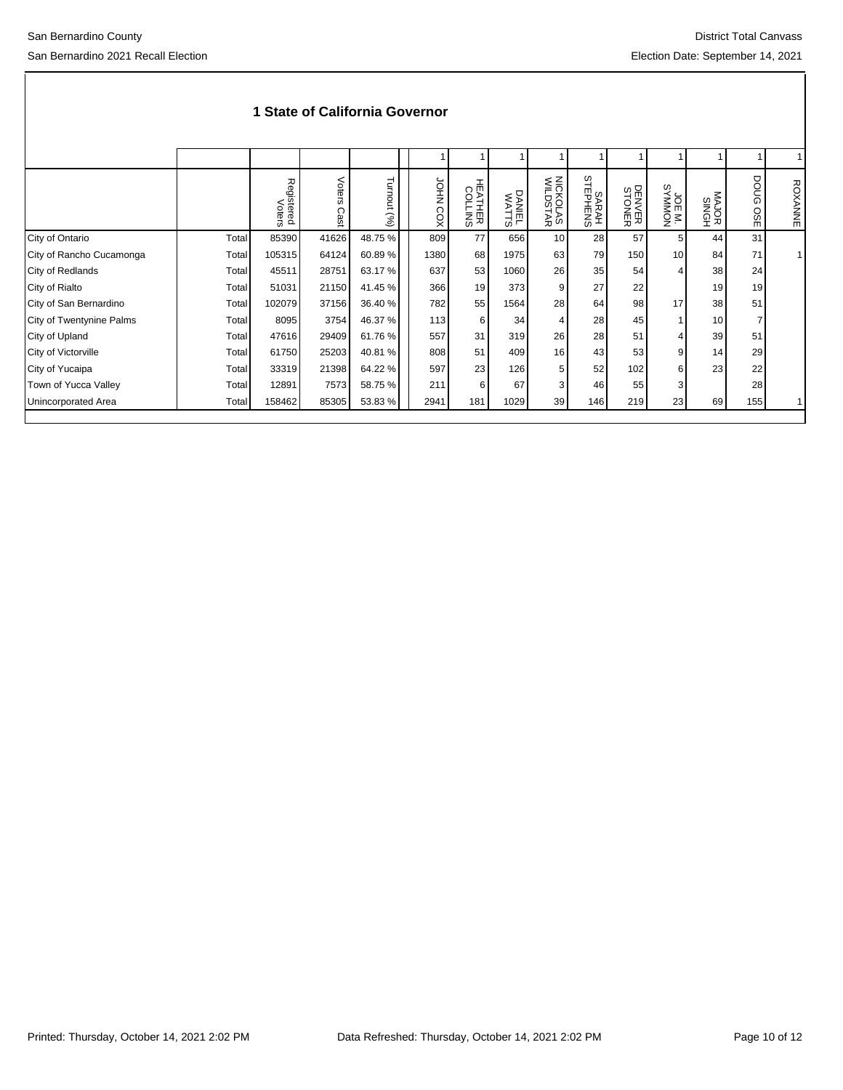|                          |       | Registered<br>Voters | Voters<br>Cast | Turnout<br>$(\%)$ | <b>JOHN COX</b> | <b>HEATHER</b><br>COLLINS | DANIEL<br>WATTS | NICKOLAS<br>WILDSTAR | SARAH<br>STEPHENS | DENVER<br>STONER | TWINDAYS<br>SYMMON<br>SYMMON | MAJOR<br>SINGH | DOUG<br>OSE | <b>ROXANNE</b> |
|--------------------------|-------|----------------------|----------------|-------------------|-----------------|---------------------------|-----------------|----------------------|-------------------|------------------|------------------------------|----------------|-------------|----------------|
| City of Ontario          | Total | 85390                | 41626          | 48.75%            | 809             | 77                        | 656             | 10 <sup>1</sup>      | 28                | 57               | 5 <sup>1</sup>               | 44             | 31          |                |
| City of Rancho Cucamonga | Total | 105315               | 64124          | 60.89%            | 1380            | 68                        | 1975            | 63                   | 79                | 150              | 10 <sup>1</sup>              | 84             | 71          |                |
| City of Redlands         | Total | 45511                | 28751          | 63.17 %           | 637             | 53                        | 1060            | 26                   | 35                | 54               |                              | 38             | 24          |                |
| City of Rialto           | Total | 51031                | 21150          | 41.45 %           | 366             | 19                        | 373             | 9                    | 27                | 22               |                              | 19             | 19          |                |
| City of San Bernardino   | Total | 102079               | 37156          | 36.40 %           | 782             | 55                        | 1564            | 28                   | 64                | 98               | 17                           | 38             | 51          |                |
| City of Twentynine Palms | Total | 8095                 | 3754           | 46.37 %           | 113             | 6                         | 34              | 4                    | 28                | 45               |                              | 10             | 7           |                |
| City of Upland           | Total | 47616                | 29409          | 61.76 %           | 557             | 31                        | 319             | 26                   | 28                | 51               |                              | 39             | 51          |                |
| City of Victorville      | Total | 61750                | 25203          | 40.81%            | 808             | 51                        | 409             | 16                   | 43                | 53               | 9                            | 14             | 29          |                |
| City of Yucaipa          | Total | 33319                | 21398          | 64.22 %           | 597             | 23                        | 126             | 5                    | 52                | 102              | 6                            | 23             | 22          |                |
| Town of Yucca Valley     | Total | 12891                | 7573           | 58.75 %           | 211             | 6                         | 67              | 3                    | 46                | 55               |                              |                | 28          |                |
| Unincorporated Area      | Total | 158462               | 85305          | 53.83%            | 2941            | 181                       | 1029            | 39                   | 146               | 219              | 23                           | 69             | 155         |                |
|                          |       |                      |                |                   |                 |                           |                 |                      |                   |                  |                              |                |             |                |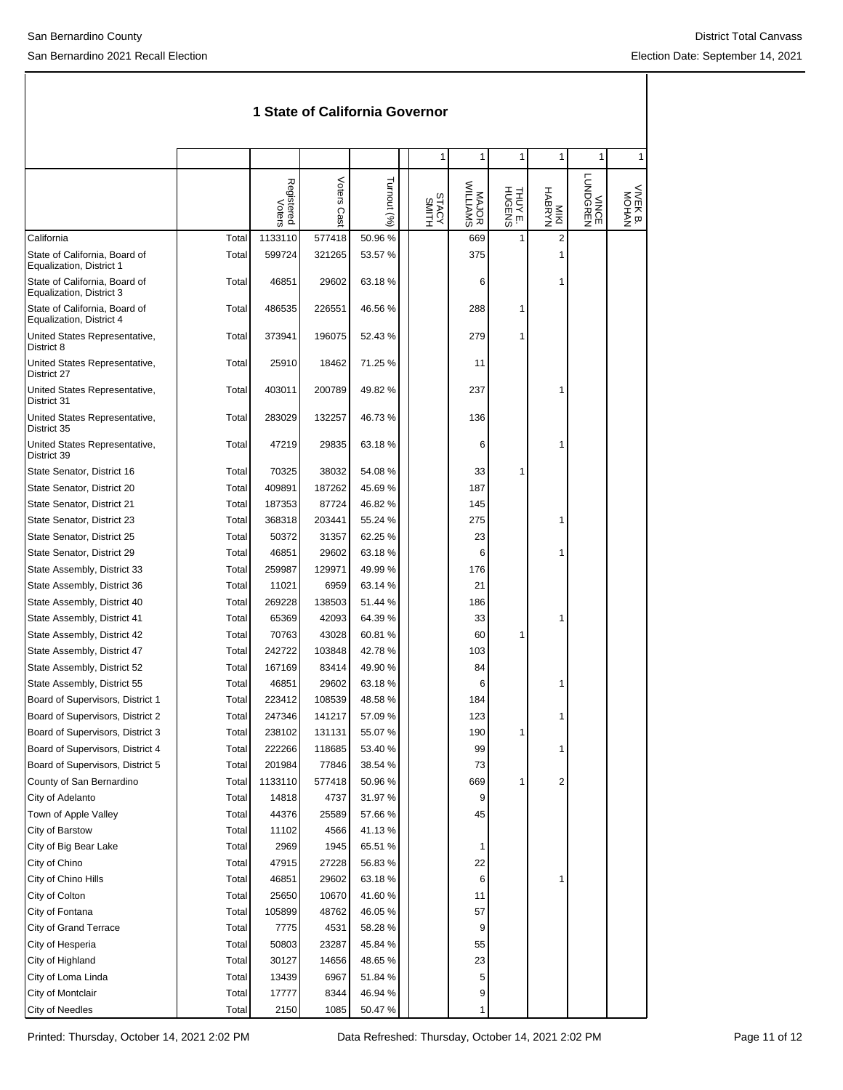|                                                           |       |                      |             |             | 1              | 1                 | 1                 | 1                 | 1                 | 1                 |
|-----------------------------------------------------------|-------|----------------------|-------------|-------------|----------------|-------------------|-------------------|-------------------|-------------------|-------------------|
|                                                           |       | Registered<br>Voters | Voters Cast | Turnout (%) | STACY<br>SMITH | MAJOR<br>WILLIAMS | THUY E.<br>HUGENS | MYABRYH<br>HABRYN | VINGE<br>LUNDGREN | VIVEK B.<br>MOHAN |
| California                                                | Total | 1133110              | 577418      | 50.96%      |                | 669               | 1                 | $\overline{2}$    |                   |                   |
| State of California, Board of<br>Equalization, District 1 | Total | 599724               | 321265      | 53.57 %     |                | 375               |                   | 1                 |                   |                   |
| State of California, Board of<br>Equalization, District 3 | Total | 46851                | 29602       | 63.18%      |                | 6                 |                   | 1                 |                   |                   |
| State of California, Board of<br>Equalization, District 4 | Total | 486535               | 226551      | 46.56 %     |                | 288               | 1                 |                   |                   |                   |
| United States Representative,<br>District 8               | Total | 373941               | 196075      | 52.43 %     |                | 279               | 1                 |                   |                   |                   |
| United States Representative,<br>District 27              | Total | 25910                | 18462       | 71.25 %     |                | 11                |                   |                   |                   |                   |
| United States Representative,<br>District 31              | Total | 403011               | 200789      | 49.82 %     |                | 237               |                   | 1                 |                   |                   |
| United States Representative,<br>District 35              | Total | 283029               | 132257      | 46.73%      |                | 136               |                   |                   |                   |                   |
| United States Representative,<br>District 39              | Total | 47219                | 29835       | 63.18%      |                | 6                 |                   | 1                 |                   |                   |
| State Senator, District 16                                | Total | 70325                | 38032       | 54.08%      |                | 33                | 1                 |                   |                   |                   |
| State Senator, District 20                                | Total | 409891               | 187262      | 45.69%      |                | 187               |                   |                   |                   |                   |
| State Senator, District 21                                | Total | 187353               | 87724       | 46.82%      |                | 145               |                   |                   |                   |                   |
| State Senator, District 23                                | Total | 368318               | 203441      | 55.24 %     |                | 275               |                   | 1                 |                   |                   |
| State Senator, District 25                                | Total | 50372                | 31357       | 62.25 %     |                | 23                |                   |                   |                   |                   |
| State Senator, District 29                                | Total | 46851                | 29602       | 63.18%      |                | 6                 |                   | 1                 |                   |                   |
| State Assembly, District 33                               | Total | 259987               | 129971      | 49.99%      |                | 176               |                   |                   |                   |                   |
| State Assembly, District 36                               | Total | 11021                | 6959        | 63.14 %     |                | 21                |                   |                   |                   |                   |
| State Assembly, District 40                               | Total | 269228               | 138503      | 51.44 %     |                | 186               |                   |                   |                   |                   |
| State Assembly, District 41                               | Total | 65369                | 42093       | 64.39%      |                | 33                |                   | 1                 |                   |                   |
| State Assembly, District 42                               | Total | 70763                | 43028       | 60.81%      |                | 60                | 1                 |                   |                   |                   |
| State Assembly, District 47                               | Total | 242722               | 103848      | 42.78%      |                | 103               |                   |                   |                   |                   |
| State Assembly, District 52                               | Total | 167169               | 83414       | 49.90%      |                | 84                |                   |                   |                   |                   |
| State Assembly, District 55                               | Total | 46851                | 29602       | 63.18%      |                | 6                 |                   | 1                 |                   |                   |
| Board of Supervisors, District 1                          | Total | 223412               | 108539      | 48.58%      |                | 184               |                   |                   |                   |                   |
| Board of Supervisors, District 2                          | Total | 247346               | 141217      | 57.09 %     |                | 123               |                   | 1                 |                   |                   |
| Board of Supervisors, District 3                          | Total | 238102               | 131131      | 55.07 %     |                | 190               | 1                 |                   |                   |                   |
| Board of Supervisors, District 4                          | Total | 222266               | 118685      | 53.40 %     |                | 99                |                   | 1                 |                   |                   |
| Board of Supervisors, District 5                          | Total | 201984               | 77846       | 38.54 %     |                | 73                |                   |                   |                   |                   |
| County of San Bernardino                                  | Total | 1133110              | 577418      | 50.96 %     |                | 669               | 1                 | $\overline{2}$    |                   |                   |
| City of Adelanto                                          | Total | 14818                | 4737        | 31.97%      |                | 9                 |                   |                   |                   |                   |
| Town of Apple Valley                                      | Total | 44376                | 25589       | 57.66 %     |                | 45                |                   |                   |                   |                   |
| City of Barstow                                           | Total | 11102                | 4566        | 41.13%      |                |                   |                   |                   |                   |                   |
| City of Big Bear Lake                                     | Total | 2969                 | 1945        | 65.51 %     |                | 1                 |                   |                   |                   |                   |
| City of Chino                                             | Total | 47915                | 27228       | 56.83%      |                | 22                |                   |                   |                   |                   |
| City of Chino Hills                                       | Total | 46851                | 29602       | 63.18%      |                | 6                 |                   | 1                 |                   |                   |
| City of Colton                                            | Total | 25650                | 10670       | 41.60%      |                | 11                |                   |                   |                   |                   |
| City of Fontana                                           | Total | 105899               | 48762       | 46.05%      |                | 57                |                   |                   |                   |                   |
| <b>City of Grand Terrace</b>                              | Total | 7775                 | 4531        | 58.28 %     |                | 9                 |                   |                   |                   |                   |
| City of Hesperia                                          | Total | 50803                | 23287       | 45.84 %     |                | 55                |                   |                   |                   |                   |
| City of Highland                                          | Total | 30127                | 14656       | 48.65%      |                | 23                |                   |                   |                   |                   |
| City of Loma Linda                                        | Total | 13439                | 6967        | 51.84 %     |                | 5                 |                   |                   |                   |                   |
| City of Montclair                                         | Total | 17777                | 8344        | 46.94 %     |                | 9<br>1            |                   |                   |                   |                   |
| City of Needles                                           | Total | 2150                 | 1085        | 50.47 %     |                |                   |                   |                   |                   |                   |